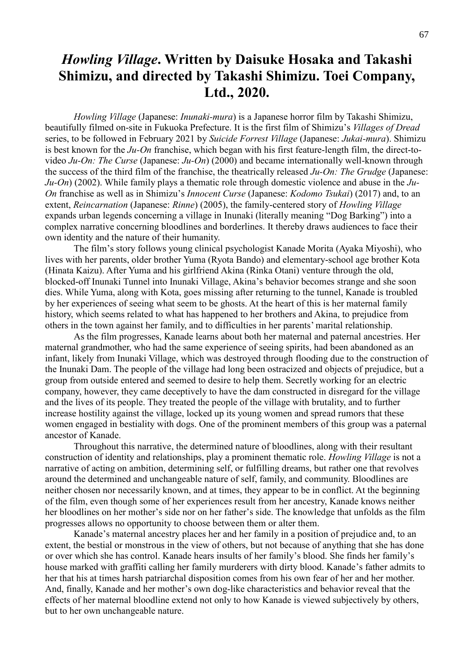## *Howling Village***. Written by Daisuke Hosaka and Takashi Shimizu, and directed by Takashi Shimizu. Toei Company, Ltd., 2020.**

*Howling Village* (Japanese: *Inunaki-mura*) is a Japanese horror film by Takashi Shimizu, beautifully filmed on-site in Fukuoka Prefecture. It is the first film of Shimizu's *Villages of Dread* series, to be followed in February 2021 by *Suicide Forrest Village* (Japanese: *Jukai-mura*). Shimizu is best known for the *Ju-On* franchise, which began with his first feature-length film, the direct-tovideo *Ju-On: The Curse* (Japanese: *Ju-On*) (2000) and became internationally well-known through the success of the third film of the franchise, the theatrically released *Ju-On: The Grudge* (Japanese: *Ju-On*) (2002). While family plays a thematic role through domestic violence and abuse in the *Ju-On* franchise as well as in Shimizu's *Innocent Curse* (Japanese: *Kodomo Tsukai*) (2017) and, to an extent, *Reincarnation* (Japanese: *Rinne*) (2005), the family-centered story of *Howling Village* expands urban legends concerning a village in Inunaki (literally meaning "Dog Barking") into a complex narrative concerning bloodlines and borderlines. It thereby draws audiences to face their own identity and the nature of their humanity.

The film's story follows young clinical psychologist Kanade Morita (Ayaka Miyoshi), who lives with her parents, older brother Yuma (Ryota Bando) and elementary-school age brother Kota (Hinata Kaizu). After Yuma and his girlfriend Akina (Rinka Otani) venture through the old, blocked-off Inunaki Tunnel into Inunaki Village, Akina's behavior becomes strange and she soon dies. While Yuma, along with Kota, goes missing after returning to the tunnel, Kanade is troubled by her experiences of seeing what seem to be ghosts. At the heart of this is her maternal family history, which seems related to what has happened to her brothers and Akina, to prejudice from others in the town against her family, and to difficulties in her parents' marital relationship.

As the film progresses, Kanade learns about both her maternal and paternal ancestries. Her maternal grandmother, who had the same experience of seeing spirits, had been abandoned as an infant, likely from Inunaki Village, which was destroyed through flooding due to the construction of the Inunaki Dam. The people of the village had long been ostracized and objects of prejudice, but a group from outside entered and seemed to desire to help them. Secretly working for an electric company, however, they came deceptively to have the dam constructed in disregard for the village and the lives of its people. They treated the people of the village with brutality, and to further increase hostility against the village, locked up its young women and spread rumors that these women engaged in bestiality with dogs. One of the prominent members of this group was a paternal ancestor of Kanade.

Throughout this narrative, the determined nature of bloodlines, along with their resultant construction of identity and relationships, play a prominent thematic role. *Howling Village* is not a narrative of acting on ambition, determining self, or fulfilling dreams, but rather one that revolves around the determined and unchangeable nature of self, family, and community. Bloodlines are neither chosen nor necessarily known, and at times, they appear to be in conflict. At the beginning of the film, even though some of her experiences result from her ancestry, Kanade knows neither her bloodlines on her mother's side nor on her father's side. The knowledge that unfolds as the film progresses allows no opportunity to choose between them or alter them.

Kanade's maternal ancestry places her and her family in a position of prejudice and, to an extent, the bestial or monstrous in the view of others, but not because of anything that she has done or over which she has control. Kanade hears insults of her family's blood. She finds her family's house marked with graffiti calling her family murderers with dirty blood. Kanade's father admits to her that his at times harsh patriarchal disposition comes from his own fear of her and her mother. And, finally, Kanade and her mother's own dog-like characteristics and behavior reveal that the effects of her maternal bloodline extend not only to how Kanade is viewed subjectively by others, but to her own unchangeable nature.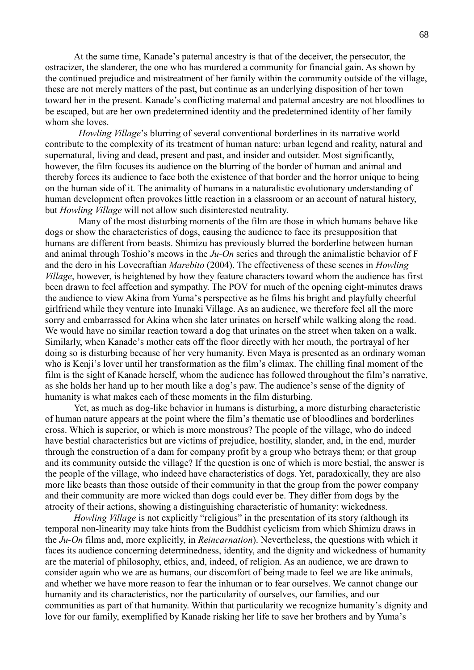At the same time, Kanade's paternal ancestry is that of the deceiver, the persecutor, the ostracizer, the slanderer, the one who has murdered a community for financial gain. As shown by the continued prejudice and mistreatment of her family within the community outside of the village, these are not merely matters of the past, but continue as an underlying disposition of her town toward her in the present. Kanade's conflicting maternal and paternal ancestry are not bloodlines to be escaped, but are her own predetermined identity and the predetermined identity of her family whom she loves.

*Howling Village*'s blurring of several conventional borderlines in its narrative world contribute to the complexity of its treatment of human nature: urban legend and reality, natural and supernatural, living and dead, present and past, and insider and outsider. Most significantly, however, the film focuses its audience on the blurring of the border of human and animal and thereby forces its audience to face both the existence of that border and the horror unique to being on the human side of it. The animality of humans in a naturalistic evolutionary understanding of human development often provokes little reaction in a classroom or an account of natural history, but *Howling Village* will not allow such disinterested neutrality.

Many of the most disturbing moments of the film are those in which humans behave like dogs or show the characteristics of dogs, causing the audience to face its presupposition that humans are different from beasts. Shimizu has previously blurred the borderline between human and animal through Toshio's meows in the *Ju-On* series and through the animalistic behavior of F and the dero in his Lovecraftian *Marebito* (2004). The effectiveness of these scenes in *Howling Village*, however, is heightened by how they feature characters toward whom the audience has first been drawn to feel affection and sympathy. The POV for much of the opening eight-minutes draws the audience to view Akina from Yuma's perspective as he films his bright and playfully cheerful girlfriend while they venture into Inunaki Village. As an audience, we therefore feel all the more sorry and embarrassed for Akina when she later urinates on herself while walking along the road. We would have no similar reaction toward a dog that urinates on the street when taken on a walk. Similarly, when Kanade's mother eats off the floor directly with her mouth, the portrayal of her doing so is disturbing because of her very humanity. Even Maya is presented as an ordinary woman who is Kenji's lover until her transformation as the film's climax. The chilling final moment of the film is the sight of Kanade herself, whom the audience has followed throughout the film's narrative, as she holds her hand up to her mouth like a dog's paw. The audience's sense of the dignity of humanity is what makes each of these moments in the film disturbing.

Yet, as much as dog-like behavior in humans is disturbing, a more disturbing characteristic of human nature appears at the point where the film's thematic use of bloodlines and borderlines cross. Which is superior, or which is more monstrous? The people of the village, who do indeed have bestial characteristics but are victims of prejudice, hostility, slander, and, in the end, murder through the construction of a dam for company profit by a group who betrays them; or that group and its community outside the village? If the question is one of which is more bestial, the answer is the people of the village, who indeed have characteristics of dogs. Yet, paradoxically, they are also more like beasts than those outside of their community in that the group from the power company and their community are more wicked than dogs could ever be. They differ from dogs by the atrocity of their actions, showing a distinguishing characteristic of humanity: wickedness.

*Howling Village* is not explicitly "religious" in the presentation of its story (although its temporal non-linearity may take hints from the Buddhist cyclicism from which Shimizu draws in the *Ju-On* films and, more explicitly, in *Reincarnation*). Nevertheless, the questions with which it faces its audience concerning determinedness, identity, and the dignity and wickedness of humanity are the material of philosophy, ethics, and, indeed, of religion. As an audience, we are drawn to consider again who we are as humans, our discomfort of being made to feel we are like animals, and whether we have more reason to fear the inhuman or to fear ourselves. We cannot change our humanity and its characteristics, nor the particularity of ourselves, our families, and our communities as part of that humanity. Within that particularity we recognize humanity's dignity and love for our family, exemplified by Kanade risking her life to save her brothers and by Yuma's